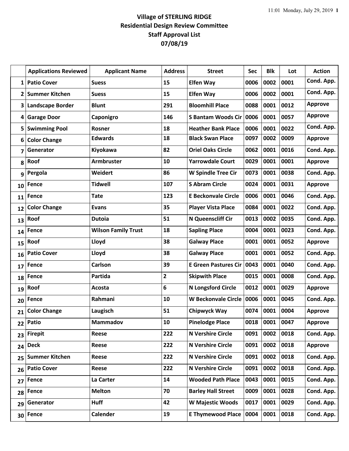## **Village of STERLING RIDGE Residential Design Review Committee Staff Approval List 07/08/19**

|    | <b>Applications Reviewed</b> | <b>Applicant Name</b>      | <b>Address</b> | <b>Street</b>               | Sec  | <b>Blk</b> | Lot  | <b>Action</b>  |
|----|------------------------------|----------------------------|----------------|-----------------------------|------|------------|------|----------------|
| 1  | <b>Patio Cover</b>           | <b>Suess</b>               | 15             | <b>Elfen Way</b>            | 0006 | 0002       | 0001 | Cond. App.     |
| 2  | <b>Summer Kitchen</b>        | <b>Suess</b>               | 15             | <b>Elfen Way</b>            | 0006 | 0002       | 0001 | Cond. App.     |
| 3  | <b>Landscape Border</b>      | <b>Blunt</b>               | 291            | <b>Bloomhill Place</b>      | 0088 | 0001       | 0012 | <b>Approve</b> |
| 4  | <b>Garage Door</b>           | Caponigro                  | 146            | <b>S Bantam Woods Cir</b>   | 0006 | 0001       | 0057 | <b>Approve</b> |
| 5  | <b>Swimming Pool</b>         | Rosner                     | 18             | <b>Heather Bank Place</b>   | 0006 | 0001       | 0022 | Cond. App.     |
| 6  | <b>Color Change</b>          | <b>Edwards</b>             | 18             | <b>Black Swan Place</b>     | 0097 | 0002       | 0009 | <b>Approve</b> |
| 7  | Generator                    | Kiyokawa                   | 82             | <b>Oriel Oaks Circle</b>    | 0062 | 0001       | 0016 | Cond. App.     |
| 8  | Roof                         | <b>Armbruster</b>          | 10             | <b>Yarrowdale Court</b>     | 0029 | 0001       | 0001 | <b>Approve</b> |
| 9  | Pergola                      | Weidert                    | 86             | <b>W Spindle Tree Cir</b>   | 0073 | 0001       | 0038 | Cond. App.     |
| 10 | Fence                        | <b>Tidwell</b>             | 107            | <b>S Abram Circle</b>       | 0024 | 0001       | 0031 | <b>Approve</b> |
| 11 | Fence                        | <b>Tate</b>                | 123            | <b>E Beckonvale Circle</b>  | 0006 | 0001       | 0046 | Cond. App.     |
| 12 | <b>Color Change</b>          | <b>Evans</b>               | 35             | <b>Player Vista Place</b>   | 0084 | 0001       | 0022 | Cond. App.     |
| 13 | Roof                         | <b>Dutoia</b>              | 51             | N Queenscliff Cir           | 0013 | 0002       | 0035 | Cond. App.     |
| 14 | Fence                        | <b>Wilson Family Trust</b> | 18             | <b>Sapling Place</b>        | 0004 | 0001       | 0023 | Cond. App.     |
| 15 | Roof                         | Lloyd                      | 38             | <b>Galway Place</b>         | 0001 | 0001       | 0052 | <b>Approve</b> |
| 16 | <b>Patio Cover</b>           | Lloyd                      | 38             | <b>Galway Place</b>         | 0001 | 0001       | 0052 | Cond. App.     |
| 17 | Fence                        | <b>Carlson</b>             | 39             | <b>E Green Pastures Cir</b> | 0043 | 0001       | 0040 | Cond. App.     |
| 18 | Fence                        | Partida                    | $\overline{2}$ | <b>Skipwith Place</b>       | 0015 | 0001       | 0008 | Cond. App.     |
| 19 | Roof                         | Acosta                     | 6              | <b>N Longsford Circle</b>   | 0012 | 0001       | 0029 | <b>Approve</b> |
| 20 | Fence                        | Rahmani                    | 10             | <b>W Beckonvale Circle</b>  | 0006 | 0001       | 0045 | Cond. App.     |
| 21 | <b>Color Change</b>          | Laugisch                   | 51             | Chipwyck Way                | 0074 | 0001       | 0004 | <b>Approve</b> |
| 22 | Patio                        | Mammadov                   | 10             | <b>Pinelodge Place</b>      | 0018 | 0001       | 0047 | <b>Approve</b> |
| 23 | <b>Firepit</b>               | Reese                      | 222            | <b>N Vershire Circle</b>    | 0091 | 0002       | 0018 | Cond. App.     |
| 24 | <b>Deck</b>                  | Reese                      | 222            | <b>N Vershire Circle</b>    | 0091 | 0002       | 0018 | <b>Approve</b> |
| 25 | <b>Summer Kitchen</b>        | Reese                      | 222            | <b>N Vershire Circle</b>    | 0091 | 0002       | 0018 | Cond. App.     |
| 26 | <b>Patio Cover</b>           | Reese                      | 222            | <b>N Vershire Circle</b>    | 0091 | 0002       | 0018 | Cond. App.     |
| 27 | <b>Fence</b>                 | La Carter                  | 14             | <b>Wooded Path Place</b>    | 0043 | 0001       | 0015 | Cond. App.     |
| 28 | Fence                        | <b>Melton</b>              | 70             | <b>Barley Hall Street</b>   | 0009 | 0001       | 0028 | Cond. App.     |
| 29 | Generator                    | <b>Huff</b>                | 42             | W Majestic Woods            | 0017 | 0001       | 0029 | Cond. App.     |
| 30 | Fence                        | <b>Calender</b>            | 19             | <b>E Thymewood Place</b>    | 0004 | 0001       | 0018 | Cond. App.     |